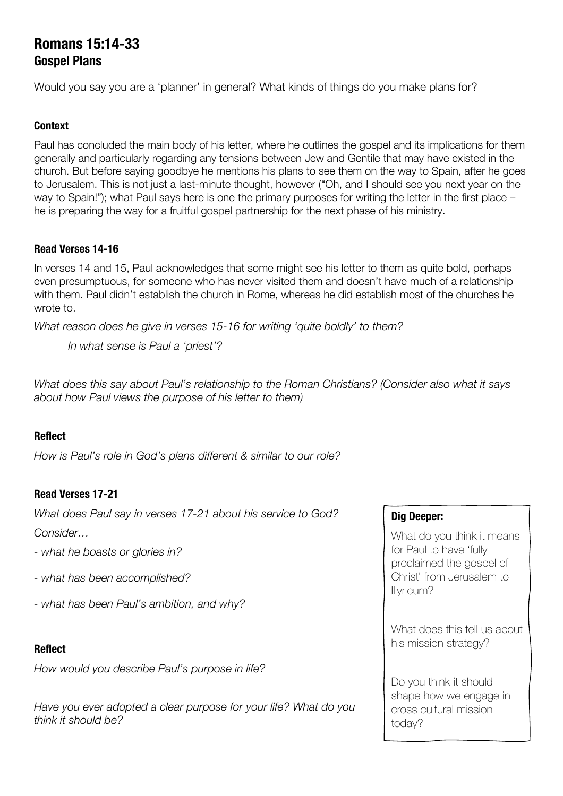# **Romans 15:14-33 Gospel Plans**

Would you say you are a 'planner' in general? What kinds of things do you make plans for?

#### **Context**

Paul has concluded the main body of his letter, where he outlines the gospel and its implications for them generally and particularly regarding any tensions between Jew and Gentile that may have existed in the church. But before saying goodbye he mentions his plans to see them on the way to Spain, after he goes to Jerusalem. This is not just a last-minute thought, however ("Oh, and I should see you next year on the way to Spain!"); what Paul says here is one the primary purposes for writing the letter in the first place – he is preparing the way for a fruitful gospel partnership for the next phase of his ministry.

## **Read Verses 14-16**

In verses 14 and 15, Paul acknowledges that some might see his letter to them as quite bold, perhaps even presumptuous, for someone who has never visited them and doesn't have much of a relationship with them. Paul didn't establish the church in Rome, whereas he did establish most of the churches he wrote to.

*What reason does he give in verses 15-16 for writing 'quite boldly' to them?*

*In what sense is Paul a 'priest'?*

*What does this say about Paul's relationship to the Roman Christians? (Consider also what it says about how Paul views the purpose of his letter to them)*

# **Reflect**

*How is Paul's role in God's plans different & similar to our role?*

# **Read Verses 17-21**

*What does Paul say in verses 17-21 about his service to God? Consider…*

- *- what he boasts or glories in?*
- *- what has been accomplished?*
- *- what has been Paul's ambition, and why?*

#### **Reflect**

*How would you describe Paul's purpose in life?*

*Have you ever adopted a clear purpose for your life? What do you think it should be?*

#### **Dig Deeper:**

What do you think it means for Paul to have 'fully proclaimed the gospel of Christ' from Jerusalem to Illyricum?

What does this tell us about his mission strategy?

Do you think it should shape how we engage in cross cultural mission today?